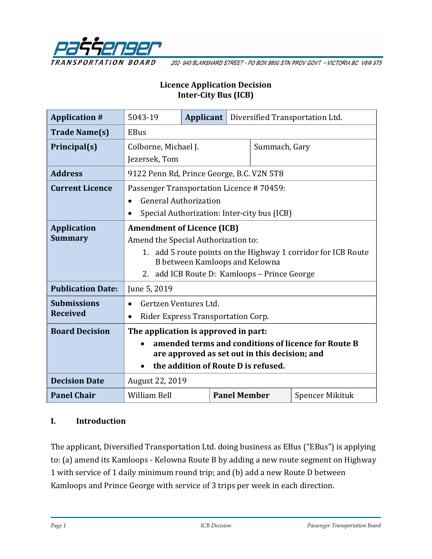

202-940 BLANSHARD STREET · PO BOX 9850 STN PROV GOVT · VICTORIA BC V8W 9T5

#### **Licence Application Decision Inter-City Bus (ICB)**

| <b>Application #</b>     | 5043-19                                                       | Applicant |                     |               | Diversified Transportation Ltd. |
|--------------------------|---------------------------------------------------------------|-----------|---------------------|---------------|---------------------------------|
| <b>Trade Name(s)</b>     | <b>EBus</b>                                                   |           |                     |               |                                 |
| Principal(s)             | Colborne, Michael J.                                          |           |                     | Summach, Gary |                                 |
|                          | Jezersek, Tom                                                 |           |                     |               |                                 |
| <b>Address</b>           | 9122 Penn Rd, Prince George, B.C. V2N 5T8                     |           |                     |               |                                 |
| <b>Current Licence</b>   | Passenger Transportation Licence #70459:                      |           |                     |               |                                 |
|                          | <b>General Authorization</b><br>$\bullet$                     |           |                     |               |                                 |
|                          | Special Authorization: Inter-city bus (ICB)                   |           |                     |               |                                 |
| <b>Application</b>       | <b>Amendment of Licence (ICB)</b>                             |           |                     |               |                                 |
| <b>Summary</b>           | Amend the Special Authorization to:                           |           |                     |               |                                 |
|                          | 1. add 5 route points on the Highway 1 corridor for ICB Route |           |                     |               |                                 |
|                          | B between Kamloops and Kelowna                                |           |                     |               |                                 |
|                          | 2. add ICB Route D: Kamloops - Prince George                  |           |                     |               |                                 |
| <b>Publication Date:</b> | June 5, 2019                                                  |           |                     |               |                                 |
| <b>Submissions</b>       | Gertzen Ventures Ltd.                                         |           |                     |               |                                 |
| <b>Received</b>          | Rider Express Transportation Corp.                            |           |                     |               |                                 |
| <b>Board Decision</b>    | The application is approved in part:                          |           |                     |               |                                 |
|                          | amended terms and conditions of licence for Route B           |           |                     |               |                                 |
|                          | are approved as set out in this decision; and                 |           |                     |               |                                 |
|                          | the addition of Route D is refused.                           |           |                     |               |                                 |
| <b>Decision Date</b>     | August 22, 2019                                               |           |                     |               |                                 |
| <b>Panel Chair</b>       | <b>William Bell</b>                                           |           | <b>Panel Member</b> |               | <b>Spencer Mikituk</b>          |

#### **I. Introduction**

The applicant, Diversified Transportation Ltd. doing business as EBus ("EBus") is applying to: (a) amend its Kamloops - Kelowna Route B by adding a new route segment on Highway 1 with service of 1 daily minimum round trip; and (b) add a new Route D between Kamloops and Prince George with service of 3 trips per week in each direction.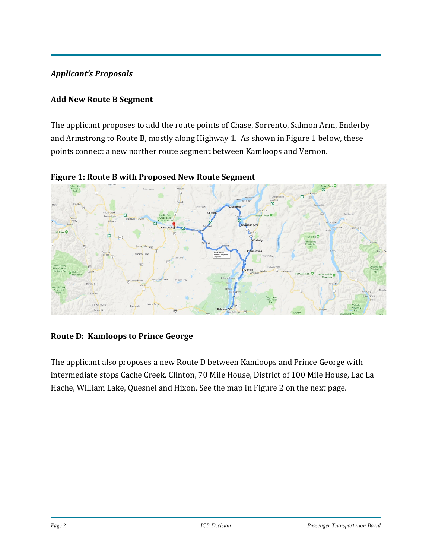### *Applicant's Proposals*

#### **Add New Route B Segment**

The applicant proposes to add the route points of Chase, Sorrento, Salmon Arm, Enderby and Armstrong to Route B, mostly along Highway 1. As shown in Figure 1 below, these points connect a new norther route segment between Kamloops and Vernon.



**Figure 1: Route B with Proposed New Route Segment**

### **Route D: Kamloops to Prince George**

The applicant also proposes a new Route D between Kamloops and Prince George with intermediate stops Cache Creek, Clinton, 70 Mile House, District of 100 Mile House, Lac La Hache, William Lake, Quesnel and Hixon. See the map in Figure 2 on the next page.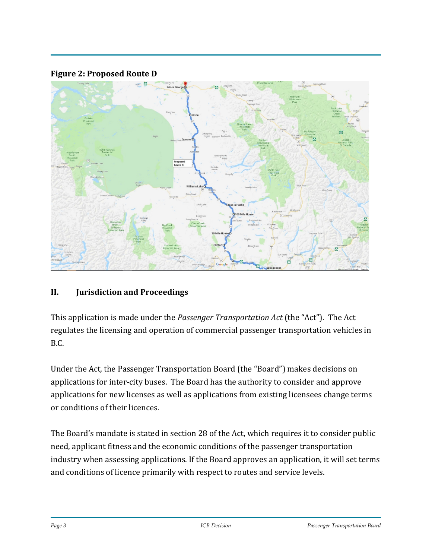

#### **Figure 2: Proposed Route D**

#### **II. Jurisdiction and Proceedings**

This application is made under the *Passenger Transportation Act* (the "Act"). The Act regulates the licensing and operation of commercial passenger transportation vehicles in B.C.

Under the Act, the Passenger Transportation Board (the "Board") makes decisions on applications for inter-city buses. The Board has the authority to consider and approve applications for new licenses as well as applications from existing licensees change terms or conditions of their licences.

The Board's mandate is stated in section 28 of the Act, which requires it to consider public need, applicant fitness and the economic conditions of the passenger transportation industry when assessing applications. If the Board approves an application, it will set terms and conditions of licence primarily with respect to routes and service levels.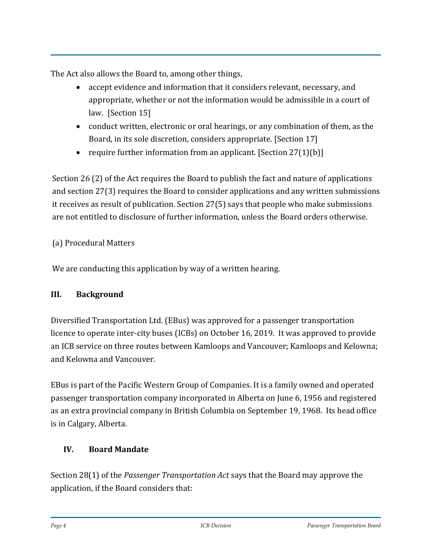The Act also allows the Board to, among other things,

- accept evidence and information that it considers relevant, necessary, and appropriate, whether or not the information would be admissible in a court of law. [Section 15]
- conduct written, electronic or oral hearings, or any combination of them, as the Board, in its sole discretion, considers appropriate. [Section 17]
- require further information from an applicant. [Section 27(1)(b)]

Section 26 (2) of the Act requires the Board to publish the fact and nature of applications and section 27(3) requires the Board to consider applications and any written submissions it receives as result of publication. Section 27(5) says that people who make submissions are not entitled to disclosure of further information, unless the Board orders otherwise.

## (a) Procedural Matters

We are conducting this application by way of a written hearing.

### **III. Background**

Diversified Transportation Ltd. (EBus) was approved for a passenger transportation licence to operate inter-city buses (ICBs) on October 16, 2019. It was approved to provide an ICB service on three routes between Kamloops and Vancouver; Kamloops and Kelowna; and Kelowna and Vancouver.

EBus is part of the Pacific Western Group of Companies. It is a family owned and operated passenger transportation company incorporated in Alberta on June 6, 1956 and registered as an extra provincial company in British Columbia on September 19, 1968. Its head office is in Calgary, Alberta.

### **IV. Board Mandate**

Section 28(1) of the *Passenger Transportation Act* says that the Board may approve the application, if the Board considers that: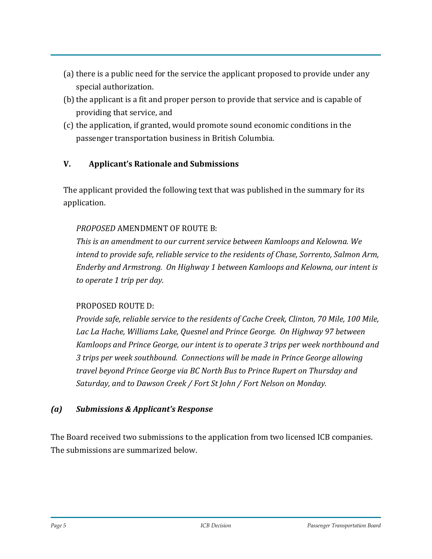- (a) there is a public need for the service the applicant proposed to provide under any special authorization.
- (b) the applicant is a fit and proper person to provide that service and is capable of providing that service, and
- (c) the application, if granted, would promote sound economic conditions in the passenger transportation business in British Columbia.

## **V. Applicant's Rationale and Submissions**

The applicant provided the following text that was published in the summary for its application.

#### *PROPOSED* AMENDMENT OF ROUTE B:

*This is an amendment to our current service between Kamloops and Kelowna. We intend to provide safe, reliable service to the residents of Chase, Sorrento, Salmon Arm, Enderby and Armstrong. On Highway 1 between Kamloops and Kelowna, our intent is to operate 1 trip per day.* 

#### PROPOSED ROUTE D:

*Provide safe, reliable service to the residents of Cache Creek, Clinton, 70 Mile, 100 Mile,*  Lac La Hache, Williams Lake, Quesnel and Prince George. On Highway 97 between *Kamloops and Prince George, our intent is to operate 3 trips per week northbound and 3 trips per week southbound. Connections will be made in Prince George allowing travel beyond Prince George via BC North Bus to Prince Rupert on Thursday and Saturday, and to Dawson Creek / Fort St John / Fort Nelson on Monday.* 

#### *(a) Submissions & Applicant's Response*

The Board received two submissions to the application from two licensed ICB companies. The submissions are summarized below.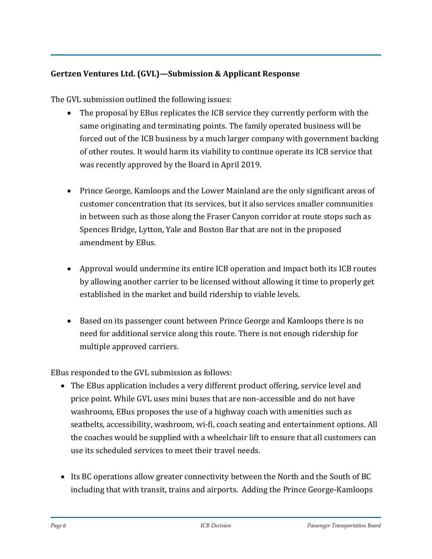## **Gertzen Ventures Ltd. (GVL)—Submission & Applicant Response**

The GVL submission outlined the following issues:

- The proposal by EBus replicates the ICB service they currently perform with the same originating and terminating points. The family operated business will be forced out of the ICB business by a much larger company with government backing of other routes. It would harm its viability to continue operate its ICB service that was recently approved by the Board in April 2019.
- Prince George, Kamloops and the Lower Mainland are the only significant areas of customer concentration that its services, but it also services smaller communities in between such as those along the Fraser Canyon corridor at route stops such as Spences Bridge, Lytton, Yale and Boston Bar that are not in the proposed amendment by EBus.
- Approval would undermine its entire ICB operation and impact both its ICB routes by allowing another carrier to be licensed without allowing it time to properly get established in the market and build ridership to viable levels.
- Based on its passenger count between Prince George and Kamloops there is no need for additional service along this route. There is not enough ridership for multiple approved carriers.

EBus responded to the GVL submission as follows:

- The EBus application includes a very different product offering, service level and price point. While GVL uses mini buses that are non-accessible and do not have washrooms, EBus proposes the use of a highway coach with amenities such as seatbelts, accessibility, washroom, wi-fi, coach seating and entertainment options. All the coaches would be supplied with a wheelchair lift to ensure that all customers can use its scheduled services to meet their travel needs.
- Its BC operations allow greater connectivity between the North and the South of BC including that with transit, trains and airports. Adding the Prince George-Kamloops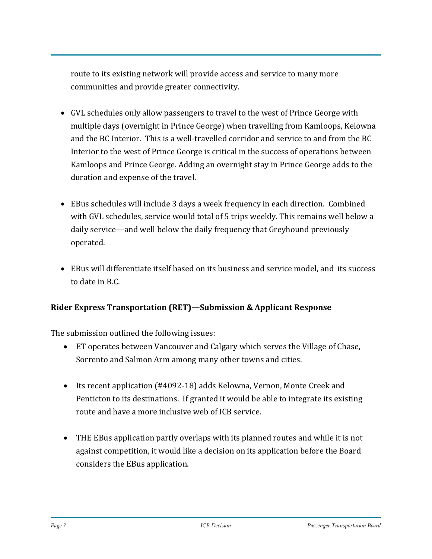route to its existing network will provide access and service to many more communities and provide greater connectivity.

- GVL schedules only allow passengers to travel to the west of Prince George with multiple days (overnight in Prince George) when travelling from Kamloops, Kelowna and the BC Interior. This is a well-travelled corridor and service to and from the BC Interior to the west of Prince George is critical in the success of operations between Kamloops and Prince George. Adding an overnight stay in Prince George adds to the duration and expense of the travel.
- EBus schedules will include 3 days a week frequency in each direction. Combined with GVL schedules, service would total of 5 trips weekly. This remains well below a daily service—and well below the daily frequency that Greyhound previously operated.
- EBus will differentiate itself based on its business and service model, and its success to date in B.C.

### **Rider Express Transportation (RET)—Submission & Applicant Response**

The submission outlined the following issues:

- ET operates between Vancouver and Calgary which serves the Village of Chase, Sorrento and Salmon Arm among many other towns and cities.
- Its recent application (#4092-18) adds Kelowna, Vernon, Monte Creek and Penticton to its destinations. If granted it would be able to integrate its existing route and have a more inclusive web of ICB service.
- THE EBus application partly overlaps with its planned routes and while it is not against competition, it would like a decision on its application before the Board considers the EBus application.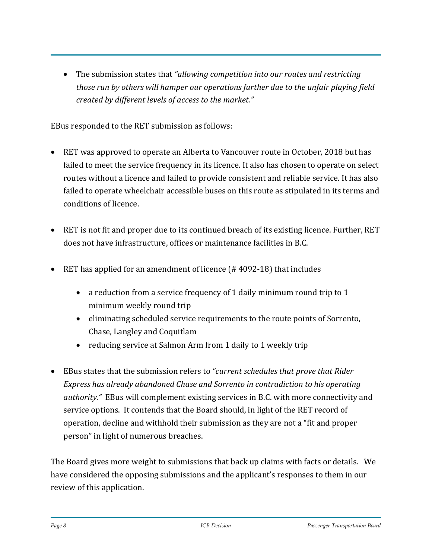• The submission states that *"allowing competition into our routes and restricting those run by others will hamper our operations further due to the unfair playing field created by different levels of access to the market."*

EBus responded to the RET submission as follows:

- RET was approved to operate an Alberta to Vancouver route in October, 2018 but has failed to meet the service frequency in its licence. It also has chosen to operate on select routes without a licence and failed to provide consistent and reliable service. It has also failed to operate wheelchair accessible buses on this route as stipulated in its terms and conditions of licence.
- RET is not fit and proper due to its continued breach of its existing licence. Further, RET does not have infrastructure, offices or maintenance facilities in B.C.
- RET has applied for an amendment of licence (#4092-18) that includes
	- a reduction from a service frequency of 1 daily minimum round trip to 1 minimum weekly round trip
	- eliminating scheduled service requirements to the route points of Sorrento, Chase, Langley and Coquitlam
	- reducing service at Salmon Arm from 1 daily to 1 weekly trip
- EBus states that the submission refers to *"current schedules that prove that Rider Express has already abandoned Chase and Sorrento in contradiction to his operating authority."* EBus will complement existing services in B.C. with more connectivity and service options. It contends that the Board should, in light of the RET record of operation, decline and withhold their submission as they are not a "fit and proper person" in light of numerous breaches.

The Board gives more weight to submissions that back up claims with facts or details. We have considered the opposing submissions and the applicant's responses to them in our review of this application.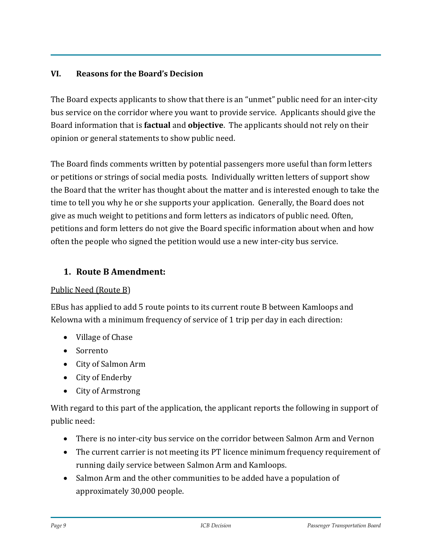### **VI. Reasons for the Board's Decision**

The Board expects applicants to show that there is an "unmet" public need for an inter-city bus service on the corridor where you want to provide service. Applicants should give the Board information that is **factual** and **objective**. The applicants should not rely on their opinion or general statements to show public need.

The Board finds comments written by potential passengers more useful than form letters or petitions or strings of social media posts. Individually written letters of support show the Board that the writer has thought about the matter and is interested enough to take the time to tell you why he or she supports your application. Generally, the Board does not give as much weight to petitions and form letters as indicators of public need. Often, petitions and form letters do not give the Board specific information about when and how often the people who signed the petition would use a new inter-city bus service.

### **1. Route B Amendment:**

#### Public Need (Route B)

EBus has applied to add 5 route points to its current route B between Kamloops and Kelowna with a minimum frequency of service of 1 trip per day in each direction:

- Village of Chase
- Sorrento
- City of Salmon Arm
- City of Enderby
- City of Armstrong

With regard to this part of the application, the applicant reports the following in support of public need:

- There is no inter-city bus service on the corridor between Salmon Arm and Vernon
- The current carrier is not meeting its PT licence minimum frequency requirement of running daily service between Salmon Arm and Kamloops.
- Salmon Arm and the other communities to be added have a population of approximately 30,000 people.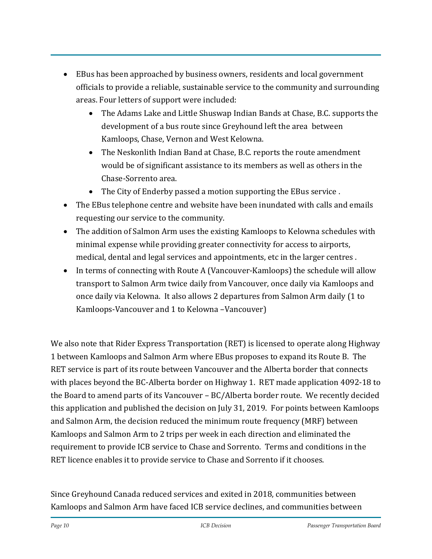- EBus has been approached by business owners, residents and local government officials to provide a reliable, sustainable service to the community and surrounding areas. Four letters of support were included:
	- The Adams Lake and Little Shuswap Indian Bands at Chase, B.C. supports the development of a bus route since Greyhound left the area between Kamloops, Chase, Vernon and West Kelowna.
	- The Neskonlith Indian Band at Chase, B.C. reports the route amendment would be of significant assistance to its members as well as others in the Chase-Sorrento area.
	- The City of Enderby passed a motion supporting the EBus service.
- The EBus telephone centre and website have been inundated with calls and emails requesting our service to the community.
- The addition of Salmon Arm uses the existing Kamloops to Kelowna schedules with minimal expense while providing greater connectivity for access to airports, medical, dental and legal services and appointments, etc in the larger centres .
- In terms of connecting with Route A (Vancouver-Kamloops) the schedule will allow transport to Salmon Arm twice daily from Vancouver, once daily via Kamloops and once daily via Kelowna. It also allows 2 departures from Salmon Arm daily (1 to Kamloops-Vancouver and 1 to Kelowna –Vancouver)

We also note that Rider Express Transportation (RET) is licensed to operate along Highway 1 between Kamloops and Salmon Arm where EBus proposes to expand its Route B. The RET service is part of its route between Vancouver and the Alberta border that connects with places beyond the BC-Alberta border on Highway 1. RET made application 4092-18 to the Board to amend parts of its Vancouver – BC/Alberta border route. We recently decided this application and published the decision on July 31, 2019. For points between Kamloops and Salmon Arm, the decision reduced the minimum route frequency (MRF) between Kamloops and Salmon Arm to 2 trips per week in each direction and eliminated the requirement to provide ICB service to Chase and Sorrento. Terms and conditions in the RET licence enables it to provide service to Chase and Sorrento if it chooses.

Since Greyhound Canada reduced services and exited in 2018, communities between Kamloops and Salmon Arm have faced ICB service declines, and communities between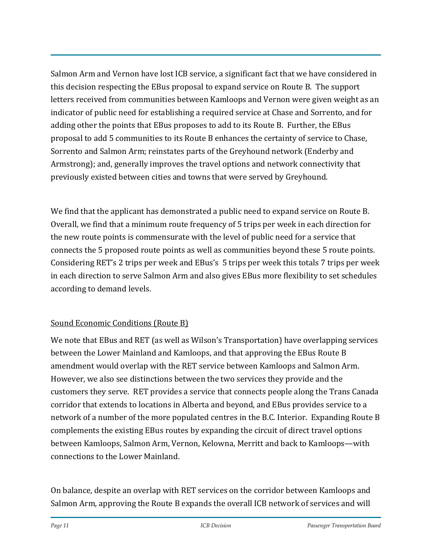Salmon Arm and Vernon have lost ICB service, a significant fact that we have considered in this decision respecting the EBus proposal to expand service on Route B. The support letters received from communities between Kamloops and Vernon were given weight as an indicator of public need for establishing a required service at Chase and Sorrento, and for adding other the points that EBus proposes to add to its Route B. Further, the EBus proposal to add 5 communities to its Route B enhances the certainty of service to Chase, Sorrento and Salmon Arm; reinstates parts of the Greyhound network (Enderby and Armstrong); and, generally improves the travel options and network connectivity that previously existed between cities and towns that were served by Greyhound.

We find that the applicant has demonstrated a public need to expand service on Route B. Overall, we find that a minimum route frequency of 5 trips per week in each direction for the new route points is commensurate with the level of public need for a service that connects the 5 proposed route points as well as communities beyond these 5 route points. Considering RET's 2 trips per week and EBus's 5 trips per week this totals 7 trips per week in each direction to serve Salmon Arm and also gives EBus more flexibility to set schedules according to demand levels.

# Sound Economic Conditions (Route B)

We note that EBus and RET (as well as Wilson's Transportation) have overlapping services between the Lower Mainland and Kamloops, and that approving the EBus Route B amendment would overlap with the RET service between Kamloops and Salmon Arm. However, we also see distinctions between the two services they provide and the customers they serve. RET provides a service that connects people along the Trans Canada corridor that extends to locations in Alberta and beyond, and EBus provides service to a network of a number of the more populated centres in the B.C. Interior. Expanding Route B complements the existing EBus routes by expanding the circuit of direct travel options between Kamloops, Salmon Arm, Vernon, Kelowna, Merritt and back to Kamloops—with connections to the Lower Mainland.

On balance, despite an overlap with RET services on the corridor between Kamloops and Salmon Arm, approving the Route B expands the overall ICB network of services and will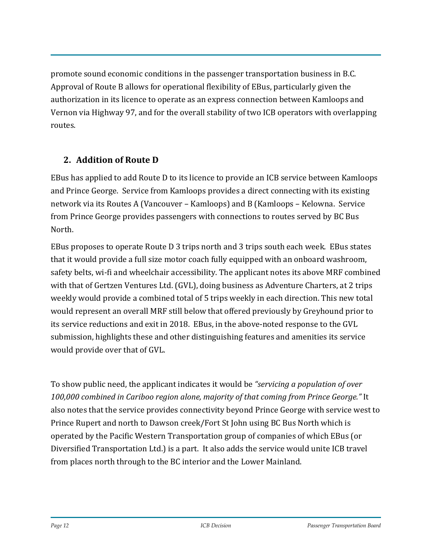promote sound economic conditions in the passenger transportation business in B.C. Approval of Route B allows for operational flexibility of EBus, particularly given the authorization in its licence to operate as an express connection between Kamloops and Vernon via Highway 97, and for the overall stability of two ICB operators with overlapping routes.

# **2. Addition of Route D**

EBus has applied to add Route D to its licence to provide an ICB service between Kamloops and Prince George. Service from Kamloops provides a direct connecting with its existing network via its Routes A (Vancouver – Kamloops) and B (Kamloops – Kelowna. Service from Prince George provides passengers with connections to routes served by BC Bus North.

EBus proposes to operate Route D 3 trips north and 3 trips south each week. EBus states that it would provide a full size motor coach fully equipped with an onboard washroom, safety belts, wi-fi and wheelchair accessibility. The applicant notes its above MRF combined with that of Gertzen Ventures Ltd. (GVL), doing business as Adventure Charters, at 2 trips weekly would provide a combined total of 5 trips weekly in each direction. This new total would represent an overall MRF still below that offered previously by Greyhound prior to its service reductions and exit in 2018. EBus, in the above-noted response to the GVL submission, highlights these and other distinguishing features and amenities its service would provide over that of GVL.

To show public need, the applicant indicates it would be *"servicing a population of over 100,000 combined in Cariboo region alone, majority of that coming from Prince George."* It also notes that the service provides connectivity beyond Prince George with service west to Prince Rupert and north to Dawson creek/Fort St John using BC Bus North which is operated by the Pacific Western Transportation group of companies of which EBus (or Diversified Transportation Ltd.) is a part. It also adds the service would unite ICB travel from places north through to the BC interior and the Lower Mainland.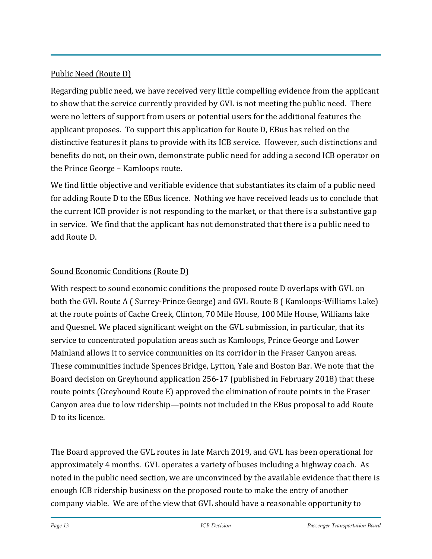### Public Need (Route D)

Regarding public need, we have received very little compelling evidence from the applicant to show that the service currently provided by GVL is not meeting the public need. There were no letters of support from users or potential users for the additional features the applicant proposes. To support this application for Route D, EBus has relied on the distinctive features it plans to provide with its ICB service. However, such distinctions and benefits do not, on their own, demonstrate public need for adding a second ICB operator on the Prince George – Kamloops route.

We find little objective and verifiable evidence that substantiates its claim of a public need for adding Route D to the EBus licence. Nothing we have received leads us to conclude that the current ICB provider is not responding to the market, or that there is a substantive gap in service. We find that the applicant has not demonstrated that there is a public need to add Route D.

# Sound Economic Conditions (Route D)

With respect to sound economic conditions the proposed route D overlaps with GVL on both the GVL Route A ( Surrey-Prince George) and GVL Route B ( Kamloops-Williams Lake) at the route points of Cache Creek, Clinton, 70 Mile House, 100 Mile House, Williams lake and Quesnel. We placed significant weight on the GVL submission, in particular, that its service to concentrated population areas such as Kamloops, Prince George and Lower Mainland allows it to service communities on its corridor in the Fraser Canyon areas. These communities include Spences Bridge, Lytton, Yale and Boston Bar. We note that the Board decision on Greyhound application 256-17 (published in February 2018) that these route points (Greyhound Route E) approved the elimination of route points in the Fraser Canyon area due to low ridership—points not included in the EBus proposal to add Route D to its licence.

The Board approved the GVL routes in late March 2019, and GVL has been operational for approximately 4 months. GVL operates a variety of buses including a highway coach. As noted in the public need section, we are unconvinced by the available evidence that there is enough ICB ridership business on the proposed route to make the entry of another company viable. We are of the view that GVL should have a reasonable opportunity to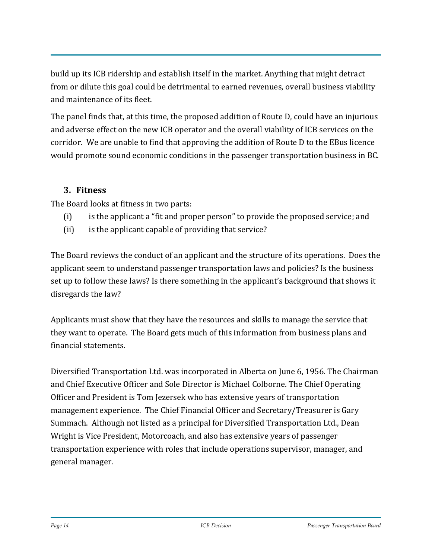build up its ICB ridership and establish itself in the market. Anything that might detract from or dilute this goal could be detrimental to earned revenues, overall business viability and maintenance of its fleet.

The panel finds that, at this time, the proposed addition of Route D, could have an injurious and adverse effect on the new ICB operator and the overall viability of ICB services on the corridor. We are unable to find that approving the addition of Route D to the EBus licence would promote sound economic conditions in the passenger transportation business in BC.

# **3. Fitness**

The Board looks at fitness in two parts:

- (i) is the applicant a "fit and proper person" to provide the proposed service; and
- (ii) is the applicant capable of providing that service?

The Board reviews the conduct of an applicant and the structure of its operations. Does the applicant seem to understand passenger transportation laws and policies? Is the business set up to follow these laws? Is there something in the applicant's background that shows it disregards the law?

Applicants must show that they have the resources and skills to manage the service that they want to operate. The Board gets much of this information from business plans and financial statements.

Diversified Transportation Ltd. was incorporated in Alberta on June 6, 1956. The Chairman and Chief Executive Officer and Sole Director is Michael Colborne. The Chief Operating Officer and President is Tom Jezersek who has extensive years of transportation management experience. The Chief Financial Officer and Secretary/Treasurer is Gary Summach. Although not listed as a principal for Diversified Transportation Ltd., Dean Wright is Vice President, Motorcoach, and also has extensive years of passenger transportation experience with roles that include operations supervisor, manager, and general manager.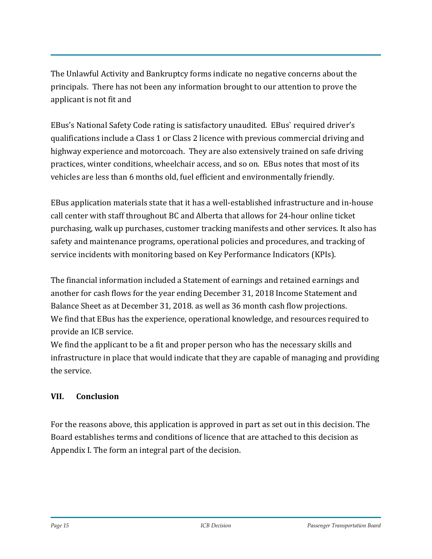The Unlawful Activity and Bankruptcy forms indicate no negative concerns about the principals. There has not been any information brought to our attention to prove the applicant is not fit and

EBus's National Safety Code rating is satisfactory unaudited. EBus` required driver's qualifications include a Class 1 or Class 2 licence with previous commercial driving and highway experience and motorcoach. They are also extensively trained on safe driving practices, winter conditions, wheelchair access, and so on. EBus notes that most of its vehicles are less than 6 months old, fuel efficient and environmentally friendly.

EBus application materials state that it has a well-established infrastructure and in-house call center with staff throughout BC and Alberta that allows for 24-hour online ticket purchasing, walk up purchases, customer tracking manifests and other services. It also has safety and maintenance programs, operational policies and procedures, and tracking of service incidents with monitoring based on Key Performance Indicators (KPIs).

The financial information included a Statement of earnings and retained earnings and another for cash flows for the year ending December 31, 2018 Income Statement and Balance Sheet as at December 31, 2018. as well as 36 month cash flow projections. We find that EBus has the experience, operational knowledge, and resources required to provide an ICB service.

We find the applicant to be a fit and proper person who has the necessary skills and infrastructure in place that would indicate that they are capable of managing and providing the service.

# **VII. Conclusion**

For the reasons above, this application is approved in part as set out in this decision. The Board establishes terms and conditions of licence that are attached to this decision as Appendix I. The form an integral part of the decision.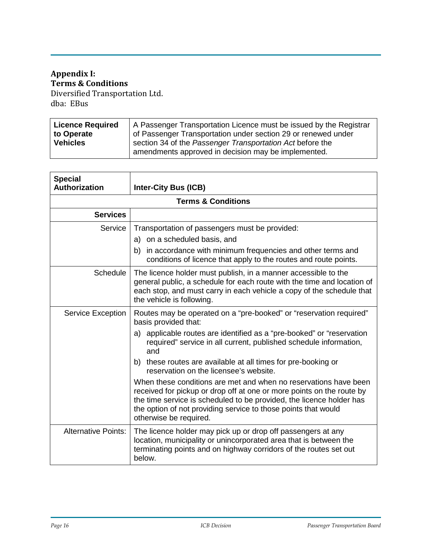# **Appendix I: Terms & Conditions**

Diversified Transportation Ltd. dba: EBus

| Licence Required | A Passenger Transportation Licence must be issued by the Registrar                                               |
|------------------|------------------------------------------------------------------------------------------------------------------|
| to Operate       | of Passenger Transportation under section 29 or renewed under                                                    |
| <b>Vehicles</b>  | section 34 of the Passenger Transportation Act before the<br>amendments approved in decision may be implemented. |
|                  |                                                                                                                  |

| <b>Special</b><br><b>Authorization</b> | <b>Inter-City Bus (ICB)</b>                                                                                                                                                                                                                                                                                   |  |  |  |
|----------------------------------------|---------------------------------------------------------------------------------------------------------------------------------------------------------------------------------------------------------------------------------------------------------------------------------------------------------------|--|--|--|
| <b>Terms &amp; Conditions</b>          |                                                                                                                                                                                                                                                                                                               |  |  |  |
| <b>Services</b>                        |                                                                                                                                                                                                                                                                                                               |  |  |  |
| Service                                | Transportation of passengers must be provided:                                                                                                                                                                                                                                                                |  |  |  |
|                                        | a) on a scheduled basis, and<br>in accordance with minimum frequencies and other terms and<br>b)<br>conditions of licence that apply to the routes and route points.                                                                                                                                          |  |  |  |
| Schedule                               | The licence holder must publish, in a manner accessible to the<br>general public, a schedule for each route with the time and location of<br>each stop, and must carry in each vehicle a copy of the schedule that<br>the vehicle is following.                                                               |  |  |  |
| <b>Service Exception</b>               | Routes may be operated on a "pre-booked" or "reservation required"<br>basis provided that:                                                                                                                                                                                                                    |  |  |  |
|                                        | applicable routes are identified as a "pre-booked" or "reservation<br>a)<br>required" service in all current, published schedule information,<br>and                                                                                                                                                          |  |  |  |
|                                        | b) these routes are available at all times for pre-booking or<br>reservation on the licensee's website.                                                                                                                                                                                                       |  |  |  |
|                                        | When these conditions are met and when no reservations have been<br>received for pickup or drop off at one or more points on the route by<br>the time service is scheduled to be provided, the licence holder has<br>the option of not providing service to those points that would<br>otherwise be required. |  |  |  |
| <b>Alternative Points:</b>             | The licence holder may pick up or drop off passengers at any<br>location, municipality or unincorporated area that is between the<br>terminating points and on highway corridors of the routes set out<br>below.                                                                                              |  |  |  |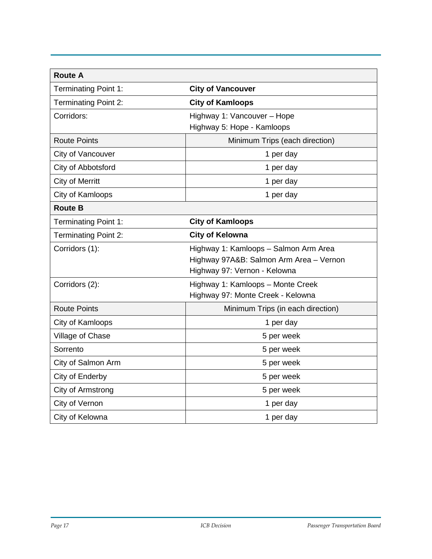| <b>Route A</b>              |                                                                                                                  |  |  |  |
|-----------------------------|------------------------------------------------------------------------------------------------------------------|--|--|--|
| <b>Terminating Point 1:</b> | <b>City of Vancouver</b>                                                                                         |  |  |  |
| <b>Terminating Point 2:</b> | <b>City of Kamloops</b>                                                                                          |  |  |  |
| Corridors:                  | Highway 1: Vancouver - Hope<br>Highway 5: Hope - Kamloops                                                        |  |  |  |
| <b>Route Points</b>         | Minimum Trips (each direction)                                                                                   |  |  |  |
| City of Vancouver           | 1 per day                                                                                                        |  |  |  |
| City of Abbotsford          | 1 per day                                                                                                        |  |  |  |
| <b>City of Merritt</b>      | 1 per day                                                                                                        |  |  |  |
| City of Kamloops            | 1 per day                                                                                                        |  |  |  |
| <b>Route B</b>              |                                                                                                                  |  |  |  |
| <b>Terminating Point 1:</b> | <b>City of Kamloops</b>                                                                                          |  |  |  |
| <b>Terminating Point 2:</b> | <b>City of Kelowna</b>                                                                                           |  |  |  |
| Corridors (1):              | Highway 1: Kamloops - Salmon Arm Area<br>Highway 97A&B: Salmon Arm Area - Vernon<br>Highway 97: Vernon - Kelowna |  |  |  |
| Corridors (2):              | Highway 1: Kamloops - Monte Creek<br>Highway 97: Monte Creek - Kelowna                                           |  |  |  |
| <b>Route Points</b>         | Minimum Trips (in each direction)                                                                                |  |  |  |
| City of Kamloops            | 1 per day                                                                                                        |  |  |  |
| Village of Chase            | 5 per week                                                                                                       |  |  |  |
| Sorrento                    | 5 per week                                                                                                       |  |  |  |
| City of Salmon Arm          | 5 per week                                                                                                       |  |  |  |
| City of Enderby             | 5 per week                                                                                                       |  |  |  |
| City of Armstrong           | 5 per week                                                                                                       |  |  |  |
| City of Vernon              | 1 per day                                                                                                        |  |  |  |
| City of Kelowna             | 1 per day                                                                                                        |  |  |  |